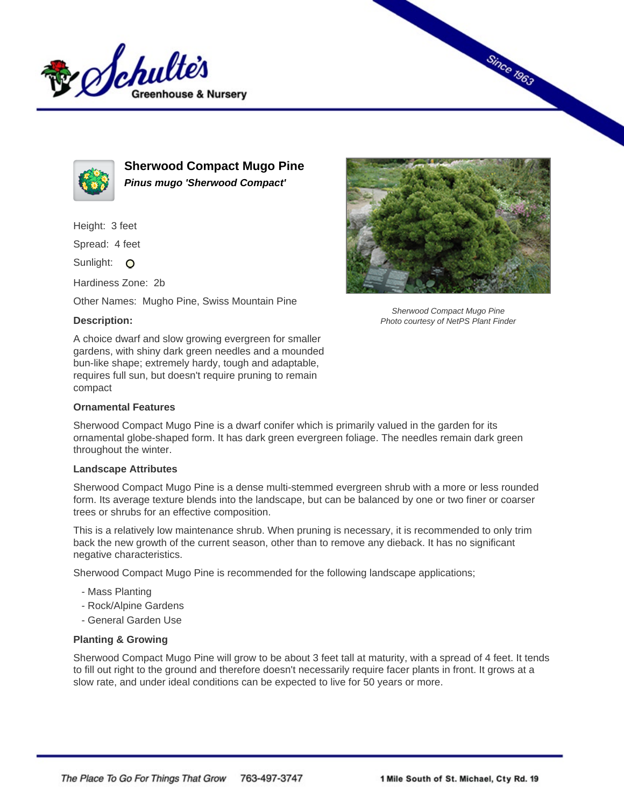



**Sherwood Compact Mugo Pine Pinus mugo 'Sherwood Compact'**

Height: 3 feet

Spread: 4 feet

Sunlight: O

Hardiness Zone: 2b

Other Names: Mugho Pine, Swiss Mountain Pine

## **Description:**

A choice dwarf and slow growing evergreen for smaller gardens, with shiny dark green needles and a mounded bun-like shape; extremely hardy, tough and adaptable, requires full sun, but doesn't require pruning to remain compact

## **Ornamental Features**

Sherwood Compact Mugo Pine is a dwarf conifer which is primarily valued in the garden for its ornamental globe-shaped form. It has dark green evergreen foliage. The needles remain dark green throughout the winter.

## **Landscape Attributes**

Sherwood Compact Mugo Pine is a dense multi-stemmed evergreen shrub with a more or less rounded form. Its average texture blends into the landscape, but can be balanced by one or two finer or coarser trees or shrubs for an effective composition.

This is a relatively low maintenance shrub. When pruning is necessary, it is recommended to only trim back the new growth of the current season, other than to remove any dieback. It has no significant negative characteristics.

Sherwood Compact Mugo Pine is recommended for the following landscape applications;

- Mass Planting
- Rock/Alpine Gardens
- General Garden Use

## **Planting & Growing**

Sherwood Compact Mugo Pine will grow to be about 3 feet tall at maturity, with a spread of 4 feet. It tends to fill out right to the ground and therefore doesn't necessarily require facer plants in front. It grows at a slow rate, and under ideal conditions can be expected to live for 50 years or more.



Since 1963

Sherwood Compact Mugo Pine Photo courtesy of NetPS Plant Finder